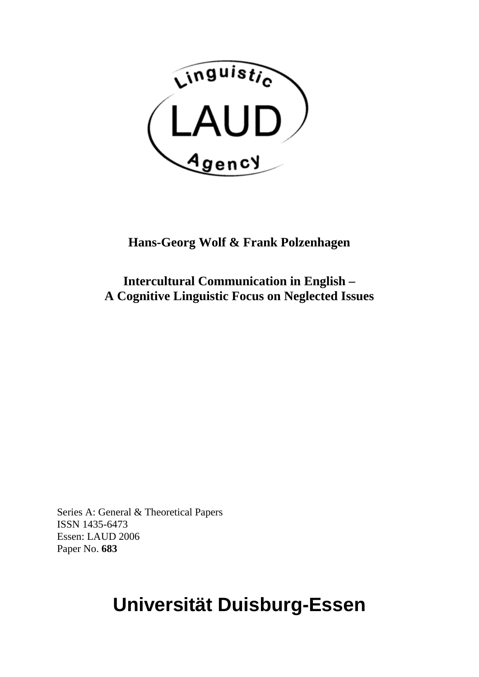

# **Hans-Georg Wolf & Frank Polzenhagen**

**Intercultural Communication in English – A Cognitive Linguistic Focus on Neglected Issues** 

Series A: General & Theoretical Papers ISSN 1435-6473 Essen: LAUD 2006 Paper No. **683**

# **Universität Duisburg-Essen**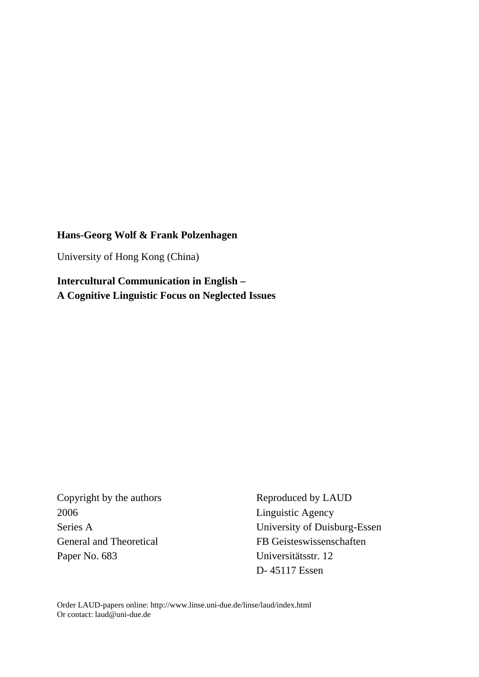## **Hans-Georg Wolf & Frank Polzenhagen**

University of Hong Kong (China)

**Intercultural Communication in English – A Cognitive Linguistic Focus on Neglected Issues** 

2006 Linguistic Agency Paper No. 683 Universitätsstr. 12

Copyright by the authors Reproduced by LAUD Series A University of Duisburg-Essen General and Theoretical FB Geisteswissenschaften D- 45117 Essen

Order LAUD-papers online: http://www.linse.uni-due.de/linse/laud/index.html Or contact: [laud@uni-due.de](mailto:laud@uni-duisburg-essen.de)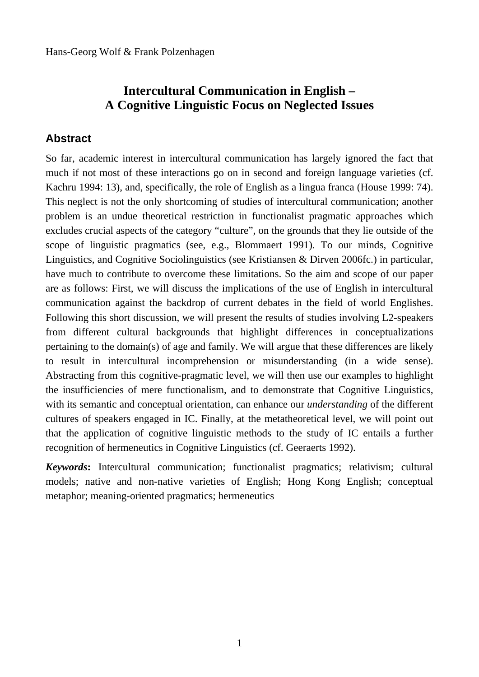## **Intercultural Communication in English – A Cognitive Linguistic Focus on Neglected Issues**

## **Abstract**

So far, academic interest in intercultural communication has largely ignored the fact that much if not most of these interactions go on in second and foreign language varieties (cf. Kachru 1994: 13), and, specifically, the role of English as a lingua franca (House 1999: 74). This neglect is not the only shortcoming of studies of intercultural communication; another problem is an undue theoretical restriction in functionalist pragmatic approaches which excludes crucial aspects of the category "culture", on the grounds that they lie outside of the scope of linguistic pragmatics (see, e.g., Blommaert 1991). To our minds, Cognitive Linguistics, and Cognitive Sociolinguistics (see Kristiansen & Dirven 2006fc.) in particular, have much to contribute to overcome these limitations. So the aim and scope of our paper are as follows: First, we will discuss the implications of the use of English in intercultural communication against the backdrop of current debates in the field of world Englishes. Following this short discussion, we will present the results of studies involving L2-speakers from different cultural backgrounds that highlight differences in conceptualizations pertaining to the domain(s) of age and family. We will argue that these differences are likely to result in intercultural incomprehension or misunderstanding (in a wide sense). Abstracting from this cognitive-pragmatic level, we will then use our examples to highlight the insufficiencies of mere functionalism, and to demonstrate that Cognitive Linguistics, with its semantic and conceptual orientation, can enhance our *understanding* of the different cultures of speakers engaged in IC. Finally, at the metatheoretical level, we will point out that the application of cognitive linguistic methods to the study of IC entails a further recognition of hermeneutics in Cognitive Linguistics (cf. Geeraerts 1992).

*Keywords***:** Intercultural communication; functionalist pragmatics; relativism; cultural models; native and non-native varieties of English; Hong Kong English; conceptual metaphor; meaning-oriented pragmatics; hermeneutics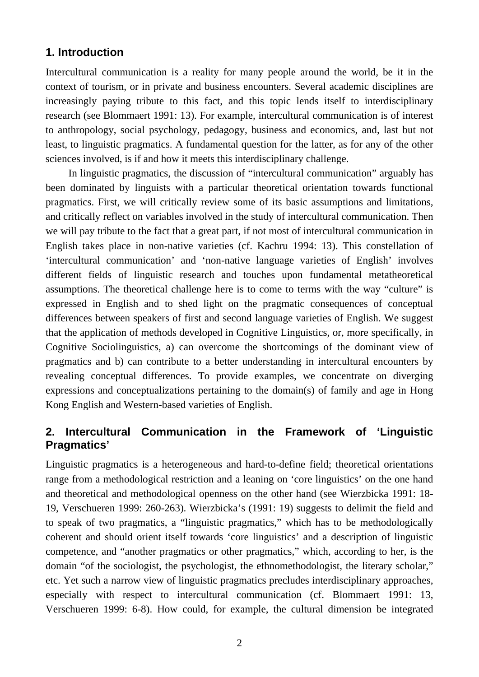## **1. Introduction**

Intercultural communication is a reality for many people around the world, be it in the context of tourism, or in private and business encounters. Several academic disciplines are increasingly paying tribute to this fact, and this topic lends itself to interdisciplinary research (see Blommaert 1991: 13). For example, intercultural communication is of interest to anthropology, social psychology, pedagogy, business and economics, and, last but not least, to linguistic pragmatics. A fundamental question for the latter, as for any of the other sciences involved, is if and how it meets this interdisciplinary challenge.

In linguistic pragmatics, the discussion of "intercultural communication" arguably has been dominated by linguists with a particular theoretical orientation towards functional pragmatics. First, we will critically review some of its basic assumptions and limitations, and critically reflect on variables involved in the study of intercultural communication. Then we will pay tribute to the fact that a great part, if not most of intercultural communication in English takes place in non-native varieties (cf. Kachru 1994: 13). This constellation of 'intercultural communication' and 'non-native language varieties of English' involves different fields of linguistic research and touches upon fundamental metatheoretical assumptions. The theoretical challenge here is to come to terms with the way "culture" is expressed in English and to shed light on the pragmatic consequences of conceptual differences between speakers of first and second language varieties of English. We suggest that the application of methods developed in Cognitive Linguistics, or, more specifically, in Cognitive Sociolinguistics, a) can overcome the shortcomings of the dominant view of pragmatics and b) can contribute to a better understanding in intercultural encounters by revealing conceptual differences. To provide examples, we concentrate on diverging expressions and conceptualizations pertaining to the domain(s) of family and age in Hong Kong English and Western-based varieties of English.

## **2. Intercultural Communication in the Framework of 'Linguistic Pragmatics'**

Linguistic pragmatics is a heterogeneous and hard-to-define field; theoretical orientations range from a methodological restriction and a leaning on 'core linguistics' on the one hand and theoretical and methodological openness on the other hand (see Wierzbicka 1991: 18- 19, Verschueren 1999: 260-263). Wierzbicka's (1991: 19) suggests to delimit the field and to speak of two pragmatics, a "linguistic pragmatics," which has to be methodologically coherent and should orient itself towards 'core linguistics' and a description of linguistic competence, and "another pragmatics or other pragmatics," which, according to her, is the domain "of the sociologist, the psychologist, the ethnomethodologist, the literary scholar," etc. Yet such a narrow view of linguistic pragmatics precludes interdisciplinary approaches, especially with respect to intercultural communication (cf. Blommaert 1991: 13, Verschueren 1999: 6-8). How could, for example, the cultural dimension be integrated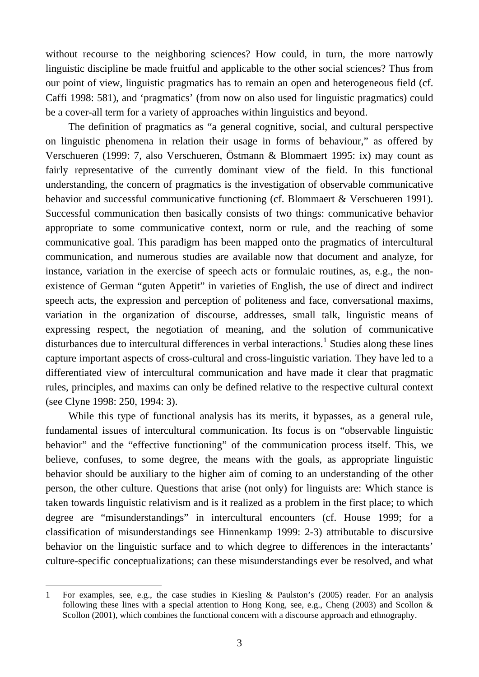without recourse to the neighboring sciences? How could, in turn, the more narrowly linguistic discipline be made fruitful and applicable to the other social sciences? Thus from our point of view, linguistic pragmatics has to remain an open and heterogeneous field (cf. Caffi 1998: 581), and 'pragmatics' (from now on also used for linguistic pragmatics) could be a cover-all term for a variety of approaches within linguistics and beyond.

The definition of pragmatics as "a general cognitive, social, and cultural perspective on linguistic phenomena in relation their usage in forms of behaviour," as offered by Verschueren (1999: 7, also Verschueren, Östmann & Blommaert 1995: ix) may count as fairly representative of the currently dominant view of the field. In this functional understanding, the concern of pragmatics is the investigation of observable communicative behavior and successful communicative functioning (cf. Blommaert & Verschueren 1991). Successful communication then basically consists of two things: communicative behavior appropriate to some communicative context, norm or rule, and the reaching of some communicative goal. This paradigm has been mapped onto the pragmatics of intercultural communication, and numerous studies are available now that document and analyze, for instance, variation in the exercise of speech acts or formulaic routines, as, e.g., the nonexistence of German "guten Appetit" in varieties of English, the use of direct and indirect speech acts, the expression and perception of politeness and face, conversational maxims, variation in the organization of discourse, addresses, small talk, linguistic means of expressing respect, the negotiation of meaning, and the solution of communicative disturbances due to intercultural differences in verbal interactions.<sup>[1](#page-4-0)</sup> Studies along these lines capture important aspects of cross-cultural and cross-linguistic variation. They have led to a differentiated view of intercultural communication and have made it clear that pragmatic rules, principles, and maxims can only be defined relative to the respective cultural context (see Clyne 1998: 250, 1994: 3).

While this type of functional analysis has its merits, it bypasses, as a general rule, fundamental issues of intercultural communication. Its focus is on "observable linguistic behavior" and the "effective functioning" of the communication process itself. This, we believe, confuses, to some degree, the means with the goals, as appropriate linguistic behavior should be auxiliary to the higher aim of coming to an understanding of the other person, the other culture. Questions that arise (not only) for linguists are: Which stance is taken towards linguistic relativism and is it realized as a problem in the first place; to which degree are "misunderstandings" in intercultural encounters (cf. House 1999; for a classification of misunderstandings see Hinnenkamp 1999: 2-3) attributable to discursive behavior on the linguistic surface and to which degree to differences in the interactants' culture-specific conceptualizations; can these misunderstandings ever be resolved, and what

<span id="page-4-0"></span><sup>1</sup> For examples, see, e.g., the case studies in Kiesling & Paulston's (2005) reader. For an analysis following these lines with a special attention to Hong Kong, see, e.g., Cheng (2003) and Scollon & Scollon (2001), which combines the functional concern with a discourse approach and ethnography.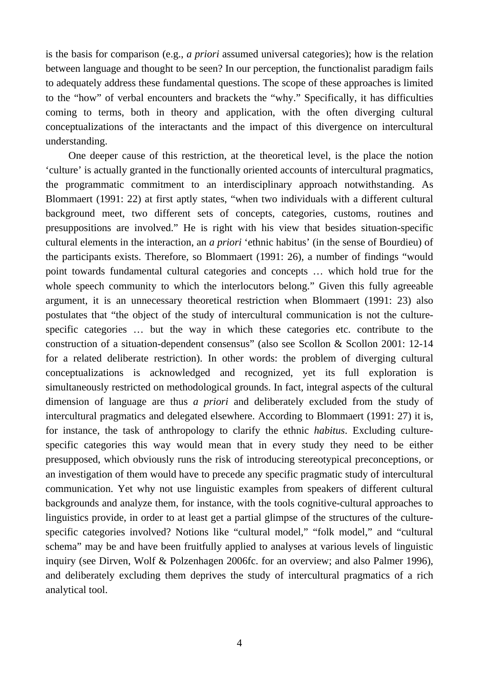is the basis for comparison (e.g., *a priori* assumed universal categories); how is the relation between language and thought to be seen? In our perception, the functionalist paradigm fails to adequately address these fundamental questions. The scope of these approaches is limited to the "how" of verbal encounters and brackets the "why." Specifically, it has difficulties coming to terms, both in theory and application, with the often diverging cultural conceptualizations of the interactants and the impact of this divergence on intercultural understanding.

One deeper cause of this restriction, at the theoretical level, is the place the notion 'culture' is actually granted in the functionally oriented accounts of intercultural pragmatics, the programmatic commitment to an interdisciplinary approach notwithstanding. As Blommaert (1991: 22) at first aptly states, "when two individuals with a different cultural background meet, two different sets of concepts, categories, customs, routines and presuppositions are involved." He is right with his view that besides situation-specific cultural elements in the interaction, an *a priori* 'ethnic habitus' (in the sense of Bourdieu) of the participants exists. Therefore, so Blommaert (1991: 26), a number of findings "would point towards fundamental cultural categories and concepts … which hold true for the whole speech community to which the interlocutors belong." Given this fully agreeable argument, it is an unnecessary theoretical restriction when Blommaert (1991: 23) also postulates that "the object of the study of intercultural communication is not the culturespecific categories … but the way in which these categories etc. contribute to the construction of a situation-dependent consensus" (also see Scollon & Scollon 2001: 12-14 for a related deliberate restriction). In other words: the problem of diverging cultural conceptualizations is acknowledged and recognized, yet its full exploration is simultaneously restricted on methodological grounds. In fact, integral aspects of the cultural dimension of language are thus *a priori* and deliberately excluded from the study of intercultural pragmatics and delegated elsewhere. According to Blommaert (1991: 27) it is, for instance, the task of anthropology to clarify the ethnic *habitus*. Excluding culturespecific categories this way would mean that in every study they need to be either presupposed, which obviously runs the risk of introducing stereotypical preconceptions, or an investigation of them would have to precede any specific pragmatic study of intercultural communication. Yet why not use linguistic examples from speakers of different cultural backgrounds and analyze them, for instance, with the tools cognitive-cultural approaches to linguistics provide, in order to at least get a partial glimpse of the structures of the culturespecific categories involved? Notions like "cultural model," "folk model," and "cultural schema" may be and have been fruitfully applied to analyses at various levels of linguistic inquiry (see Dirven, Wolf & Polzenhagen 2006fc. for an overview; and also Palmer 1996), and deliberately excluding them deprives the study of intercultural pragmatics of a rich analytical tool.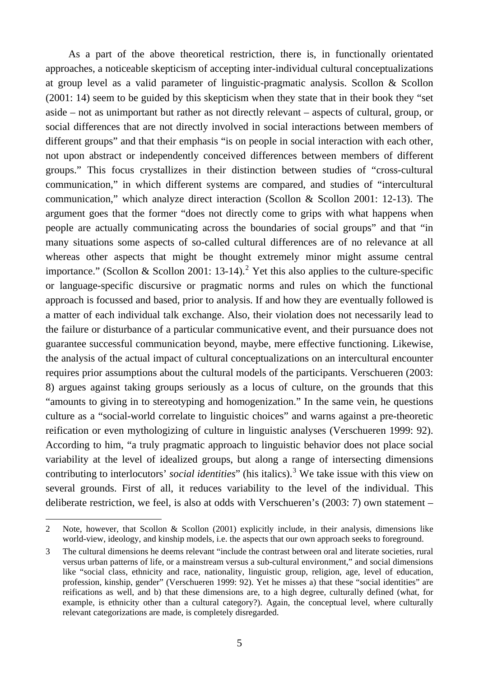As a part of the above theoretical restriction, there is, in functionally orientated approaches, a noticeable skepticism of accepting inter-individual cultural conceptualizations at group level as a valid parameter of linguistic-pragmatic analysis. Scollon & Scollon (2001: 14) seem to be guided by this skepticism when they state that in their book they "set aside – not as unimportant but rather as not directly relevant – aspects of cultural, group, or social differences that are not directly involved in social interactions between members of different groups" and that their emphasis "is on people in social interaction with each other, not upon abstract or independently conceived differences between members of different groups." This focus crystallizes in their distinction between studies of "cross-cultural communication," in which different systems are compared, and studies of "intercultural communication," which analyze direct interaction (Scollon & Scollon 2001: 12-13). The argument goes that the former "does not directly come to grips with what happens when people are actually communicating across the boundaries of social groups" and that "in many situations some aspects of so-called cultural differences are of no relevance at all whereas other aspects that might be thought extremely minor might assume central importance." (Scollon & Scollon [2](#page-6-0)001: 13-14).<sup>2</sup> Yet this also applies to the culture-specific or language-specific discursive or pragmatic norms and rules on which the functional approach is focussed and based, prior to analysis. If and how they are eventually followed is a matter of each individual talk exchange. Also, their violation does not necessarily lead to the failure or disturbance of a particular communicative event, and their pursuance does not guarantee successful communication beyond, maybe, mere effective functioning. Likewise, the analysis of the actual impact of cultural conceptualizations on an intercultural encounter requires prior assumptions about the cultural models of the participants. Verschueren (2003: 8) argues against taking groups seriously as a locus of culture, on the grounds that this "amounts to giving in to stereotyping and homogenization." In the same vein, he questions culture as a "social-world correlate to linguistic choices" and warns against a pre-theoretic reification or even mythologizing of culture in linguistic analyses (Verschueren 1999: 92). According to him, "a truly pragmatic approach to linguistic behavior does not place social variability at the level of idealized groups, but along a range of intersecting dimensions contributing to interlocutors' *social identities*" (his italics).<sup>[3](#page-6-1)</sup> We take issue with this view on several grounds. First of all, it reduces variability to the level of the individual. This deliberate restriction, we feel, is also at odds with Verschueren's (2003: 7) own statement –

<span id="page-6-0"></span><sup>2</sup> Note, however, that Scollon & Scollon (2001) explicitly include, in their analysis, dimensions like world-view, ideology, and kinship models, i.e. the aspects that our own approach seeks to foreground.

<span id="page-6-1"></span><sup>3</sup> The cultural dimensions he deems relevant "include the contrast between oral and literate societies, rural versus urban patterns of life, or a mainstream versus a sub-cultural environment," and social dimensions like "social class, ethnicity and race, nationality, linguistic group, religion, age, level of education, profession, kinship, gender" (Verschueren 1999: 92). Yet he misses a) that these "social identities" are reifications as well, and b) that these dimensions are, to a high degree, culturally defined (what, for example, is ethnicity other than a cultural category?). Again, the conceptual level, where culturally relevant categorizations are made, is completely disregarded.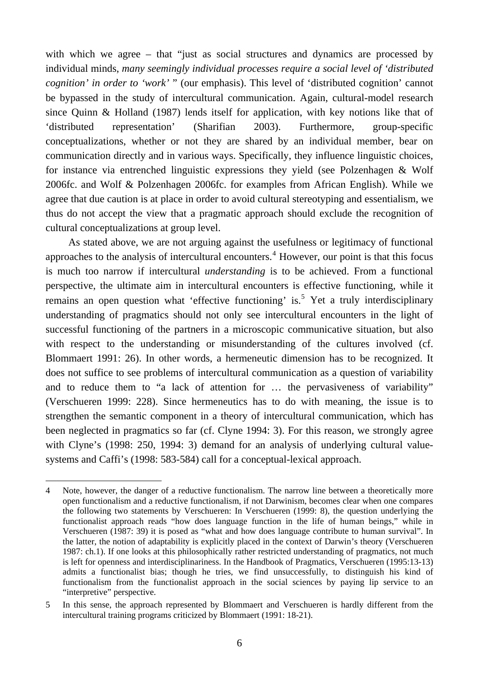with which we agree – that "just as social structures and dynamics are processed by individual minds, *many seemingly individual processes require a social level of 'distributed cognition' in order to 'work'* " (our emphasis). This level of 'distributed cognition' cannot be bypassed in the study of intercultural communication. Again, cultural-model research since Quinn & Holland (1987) lends itself for application, with key notions like that of 'distributed representation' (Sharifian 2003). Furthermore, group-specific conceptualizations, whether or not they are shared by an individual member, bear on communication directly and in various ways. Specifically, they influence linguistic choices, for instance via entrenched linguistic expressions they yield (see Polzenhagen & Wolf 2006fc. and Wolf & Polzenhagen 2006fc. for examples from African English). While we agree that due caution is at place in order to avoid cultural stereotyping and essentialism, we thus do not accept the view that a pragmatic approach should exclude the recognition of cultural conceptualizations at group level.

As stated above, we are not arguing against the usefulness or legitimacy of functional approaches to the analysis of intercultural encounters.<sup>[4](#page-7-0)</sup> However, our point is that this focus is much too narrow if intercultural *understanding* is to be achieved. From a functional perspective, the ultimate aim in intercultural encounters is effective functioning, while it remains an open question what 'effective functioning' is.<sup>[5](#page-7-1)</sup> Yet a truly interdisciplinary understanding of pragmatics should not only see intercultural encounters in the light of successful functioning of the partners in a microscopic communicative situation, but also with respect to the understanding or misunderstanding of the cultures involved (cf. Blommaert 1991: 26). In other words, a hermeneutic dimension has to be recognized. It does not suffice to see problems of intercultural communication as a question of variability and to reduce them to "a lack of attention for … the pervasiveness of variability" (Verschueren 1999: 228). Since hermeneutics has to do with meaning, the issue is to strengthen the semantic component in a theory of intercultural communication, which has been neglected in pragmatics so far (cf. Clyne 1994: 3). For this reason, we strongly agree with Clyne's (1998: 250, 1994: 3) demand for an analysis of underlying cultural valuesystems and Caffi's (1998: 583-584) call for a conceptual-lexical approach.

<span id="page-7-0"></span><sup>4</sup> Note, however, the danger of a reductive functionalism. The narrow line between a theoretically more open functionalism and a reductive functionalism, if not Darwinism, becomes clear when one compares the following two statements by Verschueren: In Verschueren (1999: 8), the question underlying the functionalist approach reads "how does language function in the life of human beings," while in Verschueren (1987: 39) it is posed as "what and how does language contribute to human survival". In the latter, the notion of adaptability is explicitly placed in the context of Darwin's theory (Verschueren 1987: ch.1). If one looks at this philosophically rather restricted understanding of pragmatics, not much is left for openness and interdisciplinariness. In the Handbook of Pragmatics, Verschueren (1995:13-13) admits a functionalist bias; though he tries, we find unsuccessfully, to distinguish his kind of functionalism from the functionalist approach in the social sciences by paying lip service to an "interpretive" perspective.

<span id="page-7-1"></span><sup>5</sup> In this sense, the approach represented by Blommaert and Verschueren is hardly different from the intercultural training programs criticized by Blommaert (1991: 18-21).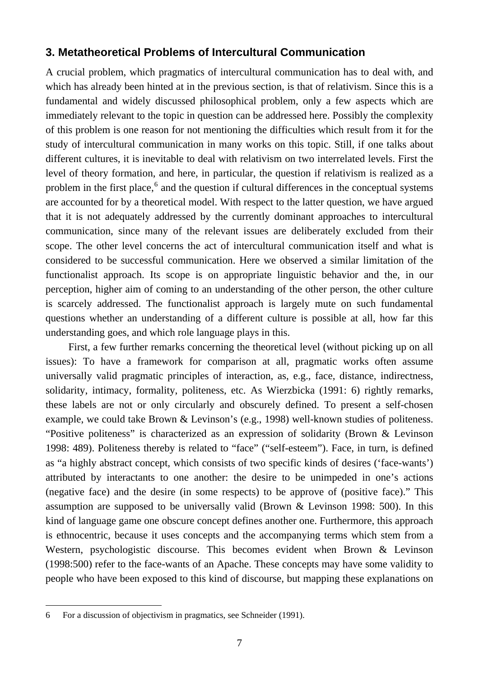## **3. Metatheoretical Problems of Intercultural Communication**

A crucial problem, which pragmatics of intercultural communication has to deal with, and which has already been hinted at in the previous section, is that of relativism. Since this is a fundamental and widely discussed philosophical problem, only a few aspects which are immediately relevant to the topic in question can be addressed here. Possibly the complexity of this problem is one reason for not mentioning the difficulties which result from it for the study of intercultural communication in many works on this topic. Still, if one talks about different cultures, it is inevitable to deal with relativism on two interrelated levels. First the level of theory formation, and here, in particular, the question if relativism is realized as a problem in the first place,<sup>[6](#page-8-0)</sup> and the question if cultural differences in the conceptual systems are accounted for by a theoretical model. With respect to the latter question, we have argued that it is not adequately addressed by the currently dominant approaches to intercultural communication, since many of the relevant issues are deliberately excluded from their scope. The other level concerns the act of intercultural communication itself and what is considered to be successful communication. Here we observed a similar limitation of the functionalist approach. Its scope is on appropriate linguistic behavior and the, in our perception, higher aim of coming to an understanding of the other person, the other culture is scarcely addressed. The functionalist approach is largely mute on such fundamental questions whether an understanding of a different culture is possible at all, how far this understanding goes, and which role language plays in this.

First, a few further remarks concerning the theoretical level (without picking up on all issues): To have a framework for comparison at all, pragmatic works often assume universally valid pragmatic principles of interaction, as, e.g., face, distance, indirectness, solidarity, intimacy, formality, politeness, etc. As Wierzbicka (1991: 6) rightly remarks, these labels are not or only circularly and obscurely defined. To present a self-chosen example, we could take Brown & Levinson's (e.g., 1998) well-known studies of politeness. "Positive politeness" is characterized as an expression of solidarity (Brown & Levinson 1998: 489). Politeness thereby is related to "face" ("self-esteem"). Face, in turn, is defined as "a highly abstract concept, which consists of two specific kinds of desires ('face-wants') attributed by interactants to one another: the desire to be unimpeded in one's actions (negative face) and the desire (in some respects) to be approve of (positive face)." This assumption are supposed to be universally valid (Brown & Levinson 1998: 500). In this kind of language game one obscure concept defines another one. Furthermore, this approach is ethnocentric, because it uses concepts and the accompanying terms which stem from a Western, psychologistic discourse. This becomes evident when Brown & Levinson (1998:500) refer to the face-wants of an Apache. These concepts may have some validity to people who have been exposed to this kind of discourse, but mapping these explanations on

<span id="page-8-0"></span><sup>6</sup> For a discussion of objectivism in pragmatics, see Schneider (1991).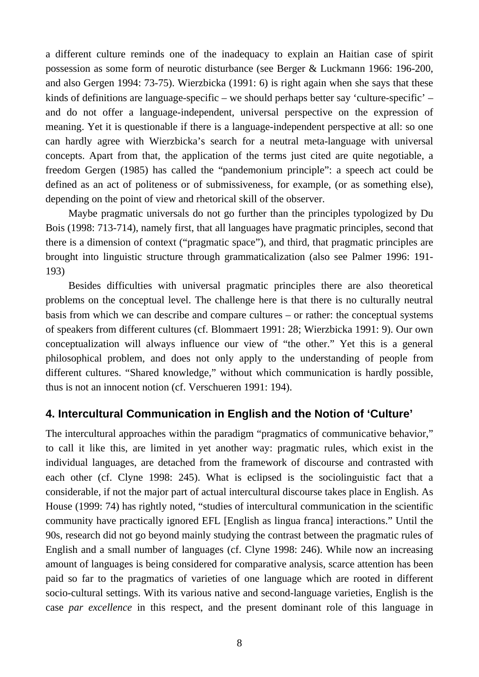a different culture reminds one of the inadequacy to explain an Haitian case of spirit possession as some form of neurotic disturbance (see Berger & Luckmann 1966: 196-200, and also Gergen 1994: 73-75). Wierzbicka (1991: 6) is right again when she says that these kinds of definitions are language-specific – we should perhaps better say 'culture-specific' – and do not offer a language-independent, universal perspective on the expression of meaning. Yet it is questionable if there is a language-independent perspective at all: so one can hardly agree with Wierzbicka's search for a neutral meta-language with universal concepts. Apart from that, the application of the terms just cited are quite negotiable, a freedom Gergen (1985) has called the "pandemonium principle": a speech act could be defined as an act of politeness or of submissiveness, for example, (or as something else), depending on the point of view and rhetorical skill of the observer.

Maybe pragmatic universals do not go further than the principles typologized by Du Bois (1998: 713-714), namely first, that all languages have pragmatic principles, second that there is a dimension of context ("pragmatic space"), and third, that pragmatic principles are brought into linguistic structure through grammaticalization (also see Palmer 1996: 191- 193)

Besides difficulties with universal pragmatic principles there are also theoretical problems on the conceptual level. The challenge here is that there is no culturally neutral basis from which we can describe and compare cultures – or rather: the conceptual systems of speakers from different cultures (cf. Blommaert 1991: 28; Wierzbicka 1991: 9). Our own conceptualization will always influence our view of "the other." Yet this is a general philosophical problem, and does not only apply to the understanding of people from different cultures. "Shared knowledge," without which communication is hardly possible, thus is not an innocent notion (cf. Verschueren 1991: 194).

## **4. Intercultural Communication in English and the Notion of 'Culture'**

The intercultural approaches within the paradigm "pragmatics of communicative behavior," to call it like this, are limited in yet another way: pragmatic rules, which exist in the individual languages, are detached from the framework of discourse and contrasted with each other (cf. Clyne 1998: 245). What is eclipsed is the sociolinguistic fact that a considerable, if not the major part of actual intercultural discourse takes place in English. As House (1999: 74) has rightly noted, "studies of intercultural communication in the scientific community have practically ignored EFL [English as lingua franca] interactions." Until the 90s, research did not go beyond mainly studying the contrast between the pragmatic rules of English and a small number of languages (cf. Clyne 1998: 246). While now an increasing amount of languages is being considered for comparative analysis, scarce attention has been paid so far to the pragmatics of varieties of one language which are rooted in different socio-cultural settings. With its various native and second-language varieties, English is the case *par excellence* in this respect, and the present dominant role of this language in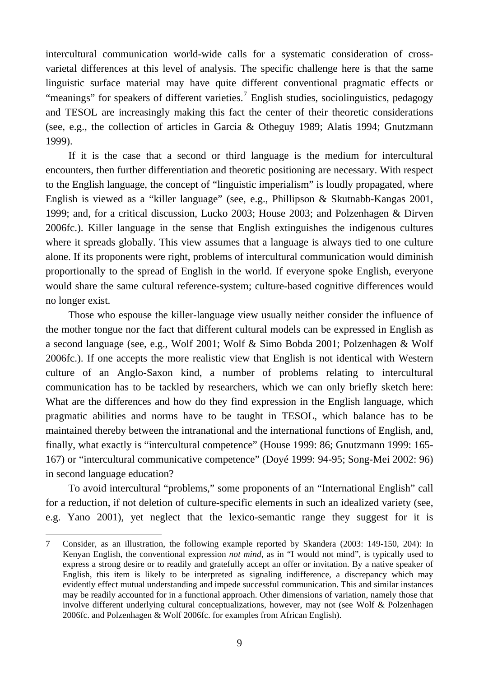intercultural communication world-wide calls for a systematic consideration of crossvarietal differences at this level of analysis. The specific challenge here is that the same linguistic surface material may have quite different conventional pragmatic effects or "meanings" for speakers of different varieties.<sup>[7](#page-10-0)</sup> English studies, sociolinguistics, pedagogy and TESOL are increasingly making this fact the center of their theoretic considerations (see, e.g., the collection of articles in Garcia & Otheguy 1989; Alatis 1994; Gnutzmann 1999).

If it is the case that a second or third language is the medium for intercultural encounters, then further differentiation and theoretic positioning are necessary. With respect to the English language, the concept of "linguistic imperialism" is loudly propagated, where English is viewed as a "killer language" (see, e.g., Phillipson & Skutnabb-Kangas 2001, 1999; and, for a critical discussion, Lucko 2003; House 2003; and Polzenhagen & Dirven 2006fc.). Killer language in the sense that English extinguishes the indigenous cultures where it spreads globally. This view assumes that a language is always tied to one culture alone. If its proponents were right, problems of intercultural communication would diminish proportionally to the spread of English in the world. If everyone spoke English, everyone would share the same cultural reference-system; culture-based cognitive differences would no longer exist.

Those who espouse the killer-language view usually neither consider the influence of the mother tongue nor the fact that different cultural models can be expressed in English as a second language (see, e.g., Wolf 2001; Wolf & Simo Bobda 2001; Polzenhagen & Wolf 2006fc.). If one accepts the more realistic view that English is not identical with Western culture of an Anglo-Saxon kind, a number of problems relating to intercultural communication has to be tackled by researchers, which we can only briefly sketch here: What are the differences and how do they find expression in the English language, which pragmatic abilities and norms have to be taught in TESOL, which balance has to be maintained thereby between the intranational and the international functions of English, and, finally, what exactly is "intercultural competence" (House 1999: 86; Gnutzmann 1999: 165- 167) or "intercultural communicative competence" (Doyé 1999: 94-95; Song-Mei 2002: 96) in second language education?

To avoid intercultural "problems," some proponents of an "International English" call for a reduction, if not deletion of culture-specific elements in such an idealized variety (see, e.g. Yano 2001), yet neglect that the lexico-semantic range they suggest for it is

<span id="page-10-0"></span><sup>7</sup> Consider, as an illustration, the following example reported by Skandera (2003: 149-150, 204): In Kenyan English, the conventional expression *not mind*, as in "I would not mind", is typically used to express a strong desire or to readily and gratefully accept an offer or invitation. By a native speaker of English, this item is likely to be interpreted as signaling indifference, a discrepancy which may evidently effect mutual understanding and impede successful communication. This and similar instances may be readily accounted for in a functional approach. Other dimensions of variation, namely those that involve different underlying cultural conceptualizations, however, may not (see Wolf & Polzenhagen 2006fc. and Polzenhagen & Wolf 2006fc. for examples from African English).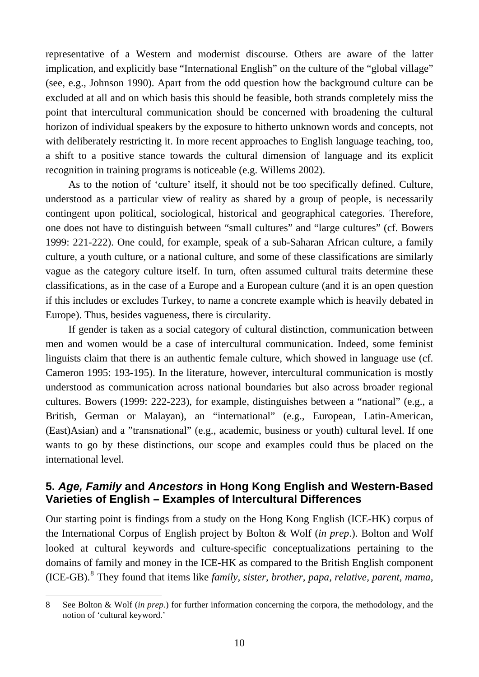representative of a Western and modernist discourse. Others are aware of the latter implication, and explicitly base "International English" on the culture of the "global village" (see, e.g., Johnson 1990). Apart from the odd question how the background culture can be excluded at all and on which basis this should be feasible, both strands completely miss the point that intercultural communication should be concerned with broadening the cultural horizon of individual speakers by the exposure to hitherto unknown words and concepts, not with deliberately restricting it. In more recent approaches to English language teaching, too, a shift to a positive stance towards the cultural dimension of language and its explicit recognition in training programs is noticeable (e.g. Willems 2002).

As to the notion of 'culture' itself, it should not be too specifically defined. Culture, understood as a particular view of reality as shared by a group of people, is necessarily contingent upon political, sociological, historical and geographical categories. Therefore, one does not have to distinguish between "small cultures" and "large cultures" (cf. Bowers 1999: 221-222). One could, for example, speak of a sub-Saharan African culture, a family culture, a youth culture, or a national culture, and some of these classifications are similarly vague as the category culture itself. In turn, often assumed cultural traits determine these classifications, as in the case of a Europe and a European culture (and it is an open question if this includes or excludes Turkey, to name a concrete example which is heavily debated in Europe). Thus, besides vagueness, there is circularity.

If gender is taken as a social category of cultural distinction, communication between men and women would be a case of intercultural communication. Indeed, some feminist linguists claim that there is an authentic female culture, which showed in language use (cf. Cameron 1995: 193-195). In the literature, however, intercultural communication is mostly understood as communication across national boundaries but also across broader regional cultures. Bowers (1999: 222-223), for example, distinguishes between a "national" (e.g., a British, German or Malayan), an "international" (e.g., European, Latin-American, (East)Asian) and a "transnational" (e.g., academic, business or youth) cultural level. If one wants to go by these distinctions, our scope and examples could thus be placed on the international level.

## **5.** *Age, Family* **and** *Ancestors* **in Hong Kong English and Western-Based Varieties of English – Examples of Intercultural Differences**

Our starting point is findings from a study on the Hong Kong English (ICE-HK) corpus of the International Corpus of English project by Bolton & Wolf (*in prep*.). Bolton and Wolf looked at cultural keywords and culture-specific conceptualizations pertaining to the domains of family and money in the ICE-HK as compared to the British English component (ICE-GB).<sup>[8](#page-11-0)</sup> They found that items like *family, sister, brother, papa, relative, parent, mama,* 

<span id="page-11-0"></span> $\overline{a}$ 8 See Bolton & Wolf (*in prep*.) for further information concerning the corpora, the methodology, and the notion of 'cultural keyword.'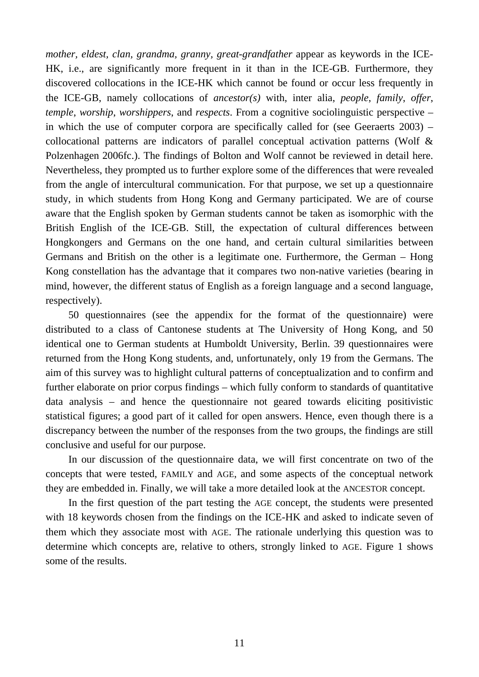*mother, eldest, clan, grandma, granny, great-grandfather* appear as keywords in the ICE-HK, i.e., are significantly more frequent in it than in the ICE-GB. Furthermore, they discovered collocations in the ICE-HK which cannot be found or occur less frequently in the ICE-GB, namely collocations of *ancestor(s)* with, inter alia, *people*, *family*, *offer*, *temple*, *worship*, *worshippers*, and *respects*. From a cognitive sociolinguistic perspective – in which the use of computer corpora are specifically called for (see Geeraerts 2003) – collocational patterns are indicators of parallel conceptual activation patterns (Wolf & Polzenhagen 2006fc.). The findings of Bolton and Wolf cannot be reviewed in detail here. Nevertheless, they prompted us to further explore some of the differences that were revealed from the angle of intercultural communication. For that purpose, we set up a questionnaire study, in which students from Hong Kong and Germany participated. We are of course aware that the English spoken by German students cannot be taken as isomorphic with the British English of the ICE-GB. Still, the expectation of cultural differences between Hongkongers and Germans on the one hand, and certain cultural similarities between Germans and British on the other is a legitimate one. Furthermore, the German – Hong Kong constellation has the advantage that it compares two non-native varieties (bearing in mind, however, the different status of English as a foreign language and a second language, respectively).

50 questionnaires (see the appendix for the format of the questionnaire) were distributed to a class of Cantonese students at The University of Hong Kong, and 50 identical one to German students at Humboldt University, Berlin. 39 questionnaires were returned from the Hong Kong students, and, unfortunately, only 19 from the Germans. The aim of this survey was to highlight cultural patterns of conceptualization and to confirm and further elaborate on prior corpus findings – which fully conform to standards of quantitative data analysis – and hence the questionnaire not geared towards eliciting positivistic statistical figures; a good part of it called for open answers. Hence, even though there is a discrepancy between the number of the responses from the two groups, the findings are still conclusive and useful for our purpose.

In our discussion of the questionnaire data, we will first concentrate on two of the concepts that were tested, FAMILY and AGE, and some aspects of the conceptual network they are embedded in. Finally, we will take a more detailed look at the ANCESTOR concept.

In the first question of the part testing the AGE concept, the students were presented with 18 keywords chosen from the findings on the ICE-HK and asked to indicate seven of them which they associate most with AGE. The rationale underlying this question was to determine which concepts are, relative to others, strongly linked to AGE. Figure 1 shows some of the results.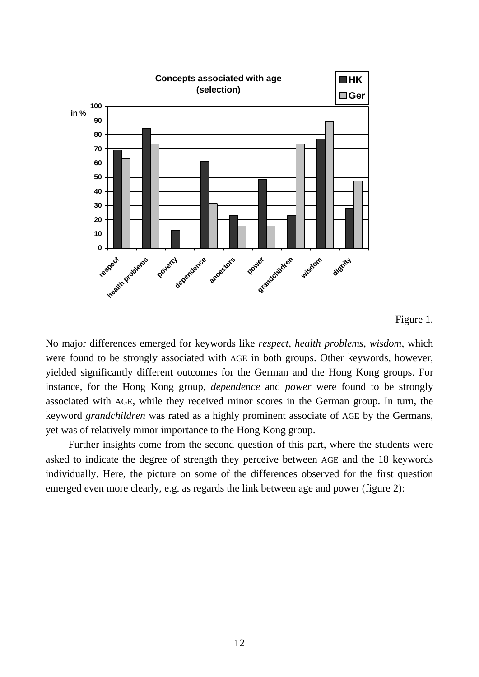

#### Figure 1.

No major differences emerged for keywords like *respect*, *health problems*, *wisdom*, which were found to be strongly associated with AGE in both groups. Other keywords, however, yielded significantly different outcomes for the German and the Hong Kong groups. For instance, for the Hong Kong group, *dependence* and *power* were found to be strongly associated with AGE, while they received minor scores in the German group. In turn, the keyword *grandchildren* was rated as a highly prominent associate of AGE by the Germans, yet was of relatively minor importance to the Hong Kong group.

Further insights come from the second question of this part, where the students were asked to indicate the degree of strength they perceive between AGE and the 18 keywords individually. Here, the picture on some of the differences observed for the first question emerged even more clearly, e.g. as regards the link between age and power (figure 2):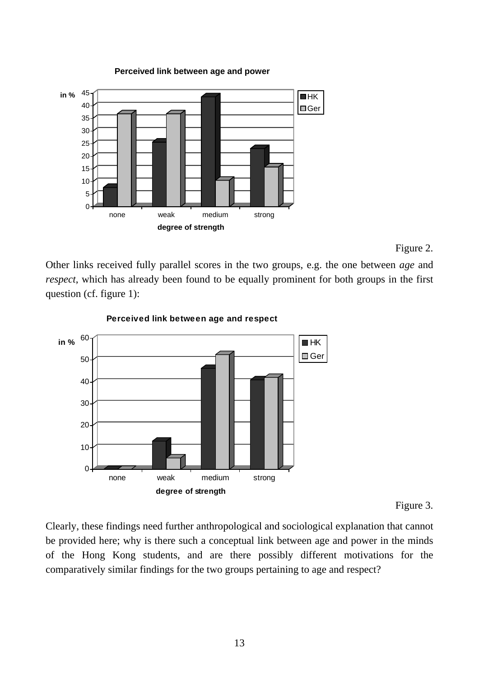

#### **Perceived link between age and power**

#### Figure 2.

Other links received fully parallel scores in the two groups, e.g. the one between *age* and *respect*, which has already been found to be equally prominent for both groups in the first question (cf. figure 1):



#### **Perceived link between age and respect**

#### Figure 3.

Clearly, these findings need further anthropological and sociological explanation that cannot be provided here; why is there such a conceptual link between age and power in the minds of the Hong Kong students, and are there possibly different motivations for the comparatively similar findings for the two groups pertaining to age and respect?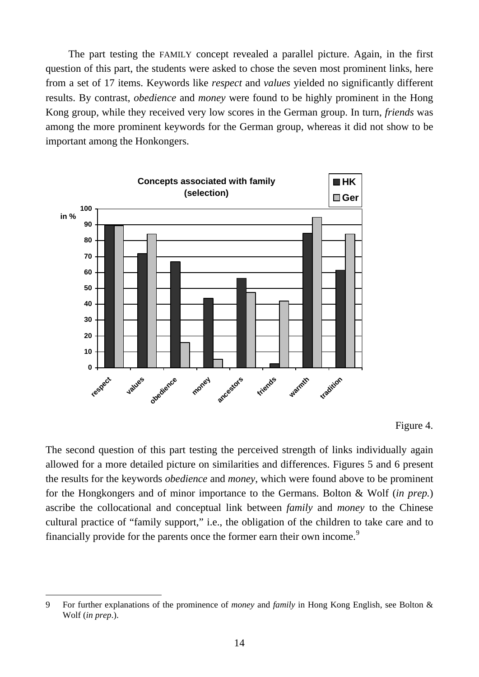The part testing the FAMILY concept revealed a parallel picture. Again, in the first question of this part, the students were asked to chose the seven most prominent links, here from a set of 17 items. Keywords like *respect* and *values* yielded no significantly different results. By contrast, *obedience* and *money* were found to be highly prominent in the Hong Kong group, while they received very low scores in the German group. In turn, *friends* was among the more prominent keywords for the German group, whereas it did not show to be important among the Honkongers.



#### Figure 4.

The second question of this part testing the perceived strength of links individually again allowed for a more detailed picture on similarities and differences. Figures 5 and 6 present the results for the keywords *obedience* and *money*, which were found above to be prominent for the Hongkongers and of minor importance to the Germans. Bolton & Wolf (*in prep.*) ascribe the collocational and conceptual link between *family* and *money* to the Chinese cultural practice of "family support," i.e., the obligation of the children to take care and to financially provide for the parents once the former earn their own income.<sup>[9](#page-15-0)</sup>

<span id="page-15-0"></span><sup>9</sup> For further explanations of the prominence of *money* and *family* in Hong Kong English, see Bolton & Wolf (*in prep*.).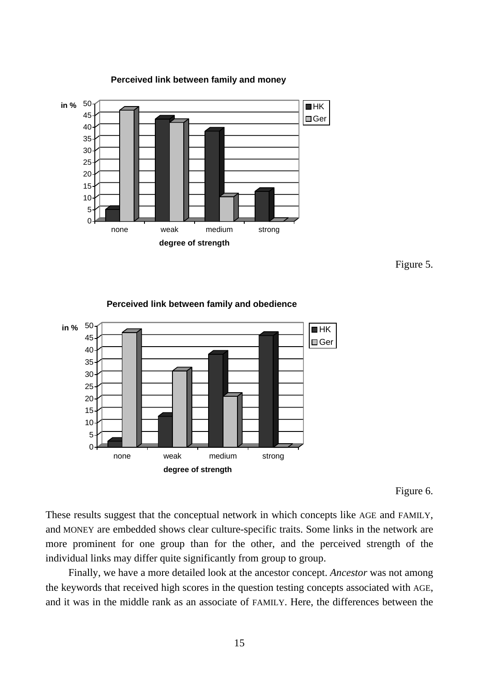







#### **Perceived link between family and obedience**

Figure 6.

These results suggest that the conceptual network in which concepts like AGE and FAMILY, and MONEY are embedded shows clear culture-specific traits. Some links in the network are more prominent for one group than for the other, and the perceived strength of the individual links may differ quite significantly from group to group.

Finally, we have a more detailed look at the ancestor concept. *Ancestor* was not among the keywords that received high scores in the question testing concepts associated with AGE, and it was in the middle rank as an associate of FAMILY. Here, the differences between the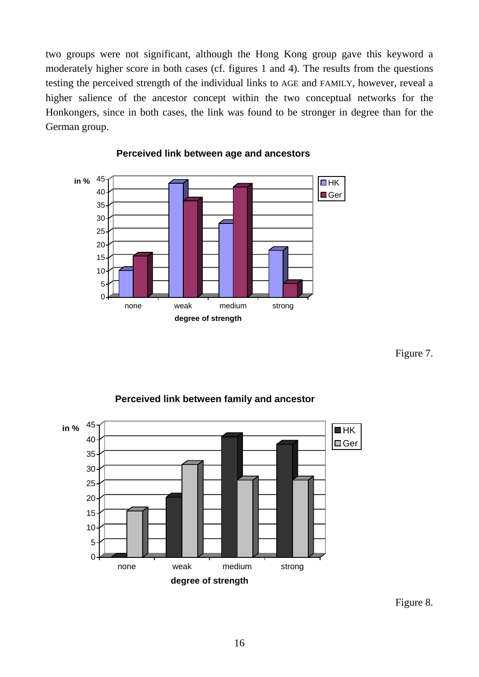two groups were not significant, although the Hong Kong group gave this keyword a moderately higher score in both cases (cf. figures 1 and 4). The results from the questions testing the perceived strength of the individual links to AGE and FAMILY, however, reveal a higher salience of the ancestor concept within the two conceptual networks for the Honkongers, since in both cases, the link was found to be stronger in degree than for the German group.



#### **Perceived link between age and ancestors**

Figure 7.

#### **Perceived link between family and ancestor**



Figure 8.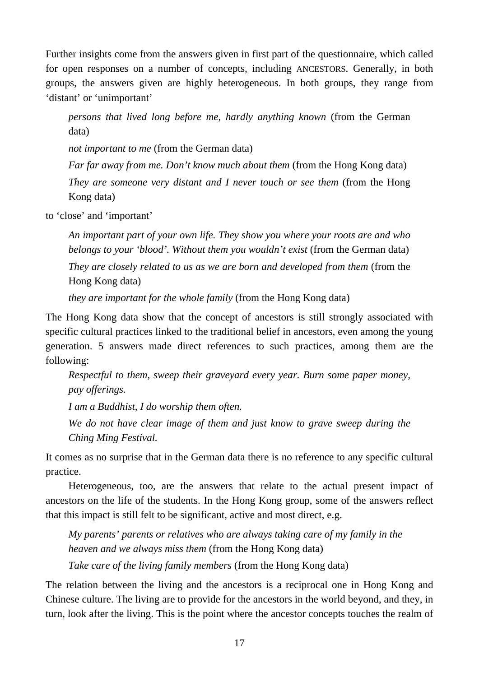Further insights come from the answers given in first part of the questionnaire, which called for open responses on a number of concepts, including ANCESTORS. Generally, in both groups, the answers given are highly heterogeneous. In both groups, they range from 'distant' or 'unimportant'

*persons that lived long before me, hardly anything known* (from the German data)

*not important to me* (from the German data)

*Far far away from me. Don't know much about them* (from the Hong Kong data) *They are someone very distant and I never touch or see them* (from the Hong Kong data)

to 'close' and 'important'

*An important part of your own life. They show you where your roots are and who belongs to your 'blood'. Without them you wouldn't exist* (from the German data) *They are closely related to us as we are born and developed from them* (from the Hong Kong data)

*they are important for the whole family* (from the Hong Kong data)

The Hong Kong data show that the concept of ancestors is still strongly associated with specific cultural practices linked to the traditional belief in ancestors, even among the young generation. 5 answers made direct references to such practices, among them are the following:

*Respectful to them, sweep their graveyard every year. Burn some paper money, pay offerings.* 

*I am a Buddhist, I do worship them often.* 

*We do not have clear image of them and just know to grave sweep during the Ching Ming Festival.* 

It comes as no surprise that in the German data there is no reference to any specific cultural practice.

Heterogeneous, too, are the answers that relate to the actual present impact of ancestors on the life of the students. In the Hong Kong group, some of the answers reflect that this impact is still felt to be significant, active and most direct, e.g.

*My parents' parents or relatives who are always taking care of my family in the heaven and we always miss them* (from the Hong Kong data)

*Take care of the living family members* (from the Hong Kong data)

The relation between the living and the ancestors is a reciprocal one in Hong Kong and Chinese culture. The living are to provide for the ancestors in the world beyond, and they, in turn, look after the living. This is the point where the ancestor concepts touches the realm of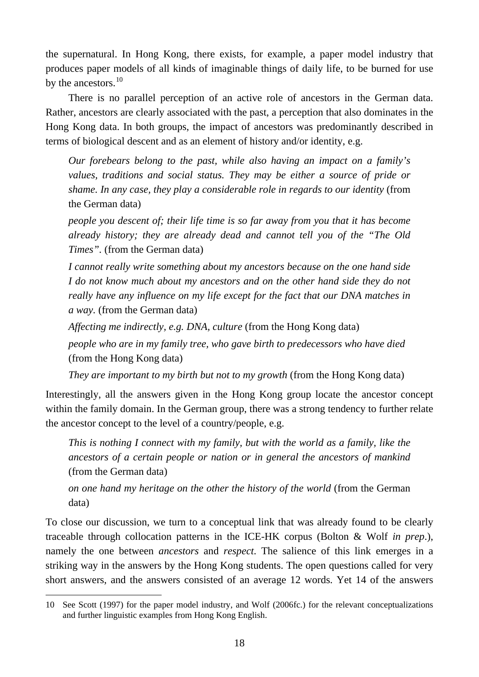the supernatural. In Hong Kong, there exists, for example, a paper model industry that produces paper models of all kinds of imaginable things of daily life, to be burned for use by the ancestors.<sup>[10](#page-19-0)</sup>

There is no parallel perception of an active role of ancestors in the German data. Rather, ancestors are clearly associated with the past, a perception that also dominates in the Hong Kong data. In both groups, the impact of ancestors was predominantly described in terms of biological descent and as an element of history and/or identity, e.g.

*Our forebears belong to the past, while also having an impact on a family's values, traditions and social status. They may be either a source of pride or shame. In any case, they play a considerable role in regards to our identity* (from the German data)

*people you descent of; their life time is so far away from you that it has become already history; they are already dead and cannot tell you of the "The Old Times".* (from the German data)

*I cannot really write something about my ancestors because on the one hand side I do not know much about my ancestors and on the other hand side they do not really have any influence on my life except for the fact that our DNA matches in a way.* (from the German data)

*Affecting me indirectly, e.g. DNA, culture* (from the Hong Kong data)

*people who are in my family tree, who gave birth to predecessors who have died* (from the Hong Kong data)

*They are important to my birth but not to my growth* (from the Hong Kong data)

Interestingly, all the answers given in the Hong Kong group locate the ancestor concept within the family domain. In the German group, there was a strong tendency to further relate the ancestor concept to the level of a country/people, e.g.

*This is nothing I connect with my family, but with the world as a family, like the ancestors of a certain people or nation or in general the ancestors of mankind* (from the German data)

*on one hand my heritage on the other the history of the world* (from the German data)

To close our discussion, we turn to a conceptual link that was already found to be clearly traceable through collocation patterns in the ICE-HK corpus (Bolton & Wolf *in prep*.), namely the one between *ancestors* and *respect*. The salience of this link emerges in a striking way in the answers by the Hong Kong students. The open questions called for very short answers, and the answers consisted of an average 12 words. Yet 14 of the answers

<span id="page-19-0"></span> $\overline{a}$ 10 See Scott (1997) for the paper model industry, and Wolf (2006fc.) for the relevant conceptualizations and further linguistic examples from Hong Kong English.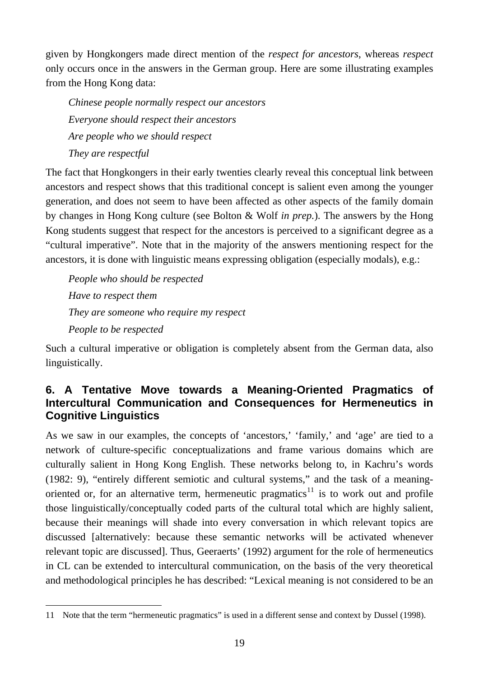given by Hongkongers made direct mention of the *respect for ancestors*, whereas *respect* only occurs once in the answers in the German group. Here are some illustrating examples from the Hong Kong data:

*Chinese people normally respect our ancestors Everyone should respect their ancestors Are people who we should respect They are respectful*

The fact that Hongkongers in their early twenties clearly reveal this conceptual link between ancestors and respect shows that this traditional concept is salient even among the younger generation, and does not seem to have been affected as other aspects of the family domain by changes in Hong Kong culture (see Bolton & Wolf *in prep.*). The answers by the Hong Kong students suggest that respect for the ancestors is perceived to a significant degree as a "cultural imperative". Note that in the majority of the answers mentioning respect for the ancestors, it is done with linguistic means expressing obligation (especially modals), e.g.:

*People who should be respected Have to respect them They are someone who require my respect People to be respected*

Such a cultural imperative or obligation is completely absent from the German data, also linguistically.

## **6. A Tentative Move towards a Meaning-Oriented Pragmatics of Intercultural Communication and Consequences for Hermeneutics in Cognitive Linguistics**

As we saw in our examples, the concepts of 'ancestors,' 'family,' and 'age' are tied to a network of culture-specific conceptualizations and frame various domains which are culturally salient in Hong Kong English. These networks belong to, in Kachru's words (1982: 9), "entirely different semiotic and cultural systems," and the task of a meaning-oriented or, for an alternative term, hermeneutic pragmatics<sup>[11](#page-20-0)</sup> is to work out and profile those linguistically/conceptually coded parts of the cultural total which are highly salient, because their meanings will shade into every conversation in which relevant topics are discussed [alternatively: because these semantic networks will be activated whenever relevant topic are discussed]. Thus, Geeraerts' (1992) argument for the role of hermeneutics in CL can be extended to intercultural communication, on the basis of the very theoretical and methodological principles he has described: "Lexical meaning is not considered to be an

<span id="page-20-0"></span> $\overline{a}$ 11 Note that the term "hermeneutic pragmatics" is used in a different sense and context by Dussel (1998).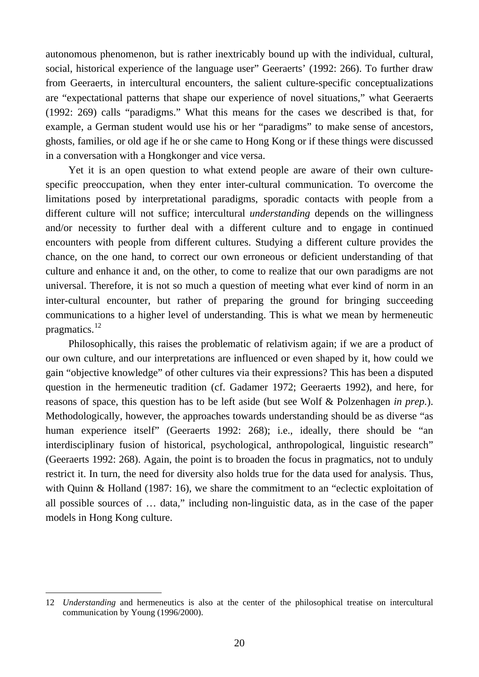autonomous phenomenon, but is rather inextricably bound up with the individual, cultural, social, historical experience of the language user" Geeraerts' (1992: 266). To further draw from Geeraerts, in intercultural encounters, the salient culture-specific conceptualizations are "expectational patterns that shape our experience of novel situations," what Geeraerts (1992: 269) calls "paradigms." What this means for the cases we described is that, for example, a German student would use his or her "paradigms" to make sense of ancestors, ghosts, families, or old age if he or she came to Hong Kong or if these things were discussed in a conversation with a Hongkonger and vice versa.

Yet it is an open question to what extend people are aware of their own culturespecific preoccupation, when they enter inter-cultural communication. To overcome the limitations posed by interpretational paradigms, sporadic contacts with people from a different culture will not suffice; intercultural *understanding* depends on the willingness and/or necessity to further deal with a different culture and to engage in continued encounters with people from different cultures. Studying a different culture provides the chance, on the one hand, to correct our own erroneous or deficient understanding of that culture and enhance it and, on the other, to come to realize that our own paradigms are not universal. Therefore, it is not so much a question of meeting what ever kind of norm in an inter-cultural encounter, but rather of preparing the ground for bringing succeeding communications to a higher level of understanding. This is what we mean by hermeneutic pragmatics.<sup>[12](#page-21-0)</sup>

Philosophically, this raises the problematic of relativism again; if we are a product of our own culture, and our interpretations are influenced or even shaped by it, how could we gain "objective knowledge" of other cultures via their expressions? This has been a disputed question in the hermeneutic tradition (cf. Gadamer 1972; Geeraerts 1992), and here, for reasons of space, this question has to be left aside (but see Wolf & Polzenhagen *in prep.*). Methodologically, however, the approaches towards understanding should be as diverse "as human experience itself" (Geeraerts 1992: 268); i.e., ideally, there should be "an interdisciplinary fusion of historical, psychological, anthropological, linguistic research" (Geeraerts 1992: 268). Again, the point is to broaden the focus in pragmatics, not to unduly restrict it. In turn, the need for diversity also holds true for the data used for analysis. Thus, with Quinn & Holland (1987: 16), we share the commitment to an "eclectic exploitation of all possible sources of … data," including non-linguistic data, as in the case of the paper models in Hong Kong culture.

<span id="page-21-0"></span><sup>12</sup> *Understanding* and hermeneutics is also at the center of the philosophical treatise on intercultural communication by Young (1996/2000).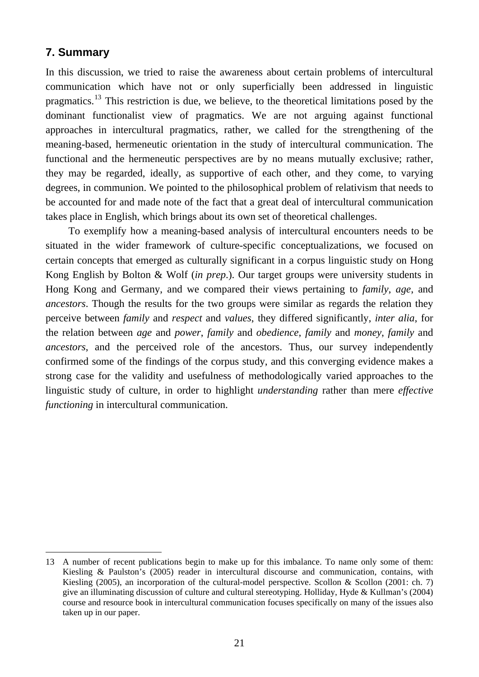## **7. Summary**

 $\overline{a}$ 

In this discussion, we tried to raise the awareness about certain problems of intercultural communication which have not or only superficially been addressed in linguistic pragmatics.[13](#page-22-0) This restriction is due, we believe, to the theoretical limitations posed by the dominant functionalist view of pragmatics. We are not arguing against functional approaches in intercultural pragmatics, rather, we called for the strengthening of the meaning-based, hermeneutic orientation in the study of intercultural communication. The functional and the hermeneutic perspectives are by no means mutually exclusive; rather, they may be regarded, ideally, as supportive of each other, and they come, to varying degrees, in communion. We pointed to the philosophical problem of relativism that needs to be accounted for and made note of the fact that a great deal of intercultural communication takes place in English, which brings about its own set of theoretical challenges.

To exemplify how a meaning-based analysis of intercultural encounters needs to be situated in the wider framework of culture-specific conceptualizations, we focused on certain concepts that emerged as culturally significant in a corpus linguistic study on Hong Kong English by Bolton & Wolf (*in prep*.). Our target groups were university students in Hong Kong and Germany, and we compared their views pertaining to *family*, *age*, and *ancestors*. Though the results for the two groups were similar as regards the relation they perceive between *family* and *respect* and *values*, they differed significantly, *inter alia*, for the relation between *age* and *power*, *family* and *obedience*, *family* and *money*, *family* and *ancestors*, and the perceived role of the ancestors. Thus, our survey independently confirmed some of the findings of the corpus study, and this converging evidence makes a strong case for the validity and usefulness of methodologically varied approaches to the linguistic study of culture, in order to highlight *understanding* rather than mere *effective functioning* in intercultural communication.

<span id="page-22-0"></span><sup>13</sup> A number of recent publications begin to make up for this imbalance. To name only some of them: Kiesling & Paulston's (2005) reader in intercultural discourse and communication, contains, with Kiesling (2005), an incorporation of the cultural-model perspective. Scollon & Scollon (2001: ch. 7) give an illuminating discussion of culture and cultural stereotyping. Holliday, Hyde & Kullman's (2004) course and resource book in intercultural communication focuses specifically on many of the issues also taken up in our paper.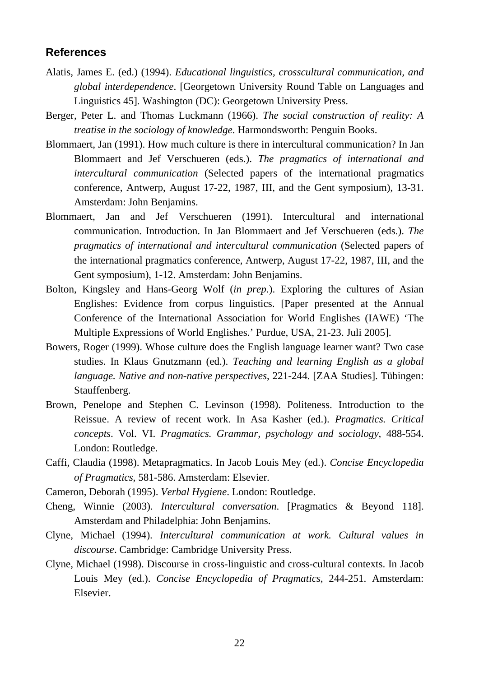#### **References**

- Alatis, James E. (ed.) (1994). *Educational linguistics, crosscultural communication, and global interdependence*. [Georgetown University Round Table on Languages and Linguistics 45]. Washington (DC): Georgetown University Press.
- Berger, Peter L. and Thomas Luckmann (1966). *The social construction of reality: A treatise in the sociology of knowledge*. Harmondsworth: Penguin Books.
- Blommaert, Jan (1991). How much culture is there in intercultural communication? In Jan Blommaert and Jef Verschueren (eds.). *The pragmatics of international and intercultural communication* (Selected papers of the international pragmatics conference, Antwerp, August 17-22, 1987, III, and the Gent symposium), 13-31. Amsterdam: John Benjamins.
- Blommaert, Jan and Jef Verschueren (1991). Intercultural and international communication. Introduction. In Jan Blommaert and Jef Verschueren (eds.). *The pragmatics of international and intercultural communication* (Selected papers of the international pragmatics conference, Antwerp, August 17-22, 1987, III, and the Gent symposium), 1-12. Amsterdam: John Benjamins.
- Bolton, Kingsley and Hans-Georg Wolf (*in prep.*). Exploring the cultures of Asian Englishes: Evidence from corpus linguistics. [Paper presented at the Annual Conference of the International Association for World Englishes (IAWE) 'The Multiple Expressions of World Englishes.' Purdue, USA, 21-23. Juli 2005].
- Bowers, Roger (1999). Whose culture does the English language learner want? Two case studies. In Klaus Gnutzmann (ed.). *Teaching and learning English as a global language. Native and non-native perspectives*, 221-244. [ZAA Studies]. Tübingen: Stauffenberg.
- Brown, Penelope and Stephen C. Levinson (1998). Politeness. Introduction to the Reissue. A review of recent work. In Asa Kasher (ed.). *Pragmatics. Critical concepts*. Vol. VI. *Pragmatics. Grammar, psychology and sociology*, 488-554. London: Routledge.
- Caffi, Claudia (1998). Metapragmatics. In Jacob Louis Mey (ed.). *Concise Encyclopedia of Pragmatics*, 581-586. Amsterdam: Elsevier.
- Cameron, Deborah (1995). *Verbal Hygiene*. London: Routledge.
- Cheng, Winnie (2003). *Intercultural conversation*. [Pragmatics & Beyond 118]. Amsterdam and Philadelphia: John Benjamins.
- Clyne, Michael (1994). *Intercultural communication at work. Cultural values in discourse*. Cambridge: Cambridge University Press.
- Clyne, Michael (1998). Discourse in cross-linguistic and cross-cultural contexts. In Jacob Louis Mey (ed.). *Concise Encyclopedia of Pragmatics*, 244-251. Amsterdam: Elsevier.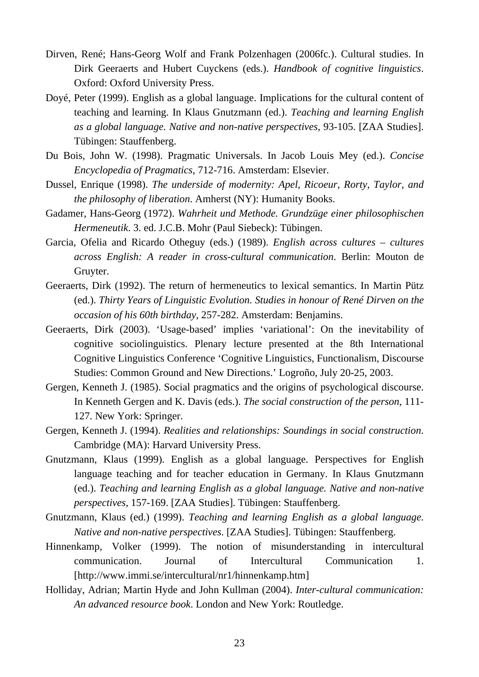- Dirven, René; Hans-Georg Wolf and Frank Polzenhagen (2006fc.). Cultural studies. In Dirk Geeraerts and Hubert Cuyckens (eds.). *Handbook of cognitive linguistics*. Oxford: Oxford University Press.
- Doyé, Peter (1999). English as a global language. Implications for the cultural content of teaching and learning. In Klaus Gnutzmann (ed.). *Teaching and learning English as a global language. Native and non-native perspectives*, 93-105. [ZAA Studies]. Tübingen: Stauffenberg.
- Du Bois, John W. (1998). Pragmatic Universals. In Jacob Louis Mey (ed.). *Concise Encyclopedia of Pragmatics*, 712-716. Amsterdam: Elsevier.
- Dussel, Enrique (1998). *The underside of modernity: Apel, Ricoeur, Rorty, Taylor, and the philosophy of liberation*. Amherst (NY): Humanity Books.
- Gadamer, Hans-Georg (1972). *Wahrheit und Methode. Grundzüge einer philosophischen Hermeneutik*. 3. ed. J.C.B. Mohr (Paul Siebeck): Tübingen.
- Garcia, Ofelia and Ricardo Otheguy (eds.) (1989). *English across cultures cultures across English: A reader in cross-cultural communication*. Berlin: Mouton de Gruyter.
- Geeraerts, Dirk (1992). The return of hermeneutics to lexical semantics. In Martin Pütz (ed.). *Thirty Years of Linguistic Evolution. Studies in honour of René Dirven on the occasion of his 60th birthday*, 257-282. Amsterdam: Benjamins.
- Geeraerts, Dirk (2003). 'Usage-based' implies 'variational': On the inevitability of cognitive sociolinguistics. Plenary lecture presented at the 8th International Cognitive Linguistics Conference 'Cognitive Linguistics, Functionalism, Discourse Studies: Common Ground and New Directions.' Logroño, July 20-25, 2003.
- Gergen, Kenneth J. (1985). Social pragmatics and the origins of psychological discourse. In Kenneth Gergen and K. Davis (eds.). *The social construction of the person*, 111- 127. New York: Springer.
- Gergen, Kenneth J. (1994). *Realities and relationships: Soundings in social construction*. Cambridge (MA): Harvard University Press.
- Gnutzmann, Klaus (1999). English as a global language. Perspectives for English language teaching and for teacher education in Germany. In Klaus Gnutzmann (ed.). *Teaching and learning English as a global language. Native and non-native perspectives*, 157-169. [ZAA Studies]. Tübingen: Stauffenberg.
- Gnutzmann, Klaus (ed.) (1999). *Teaching and learning English as a global language. Native and non-native perspectives*. [ZAA Studies]. Tübingen: Stauffenberg.
- Hinnenkamp, Volker (1999). The notion of misunderstanding in intercultural communication. Journal of Intercultural Communication 1. [http://www.immi.se/intercultural/nr1/hinnenkamp.htm]
- Holliday, Adrian; Martin Hyde and John Kullman (2004). *Inter-cultural communication: An advanced resource book*. London and New York: Routledge.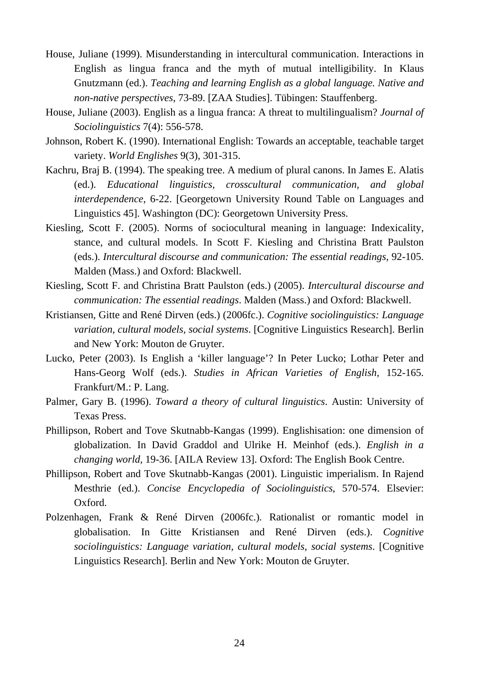- House, Juliane (1999). Misunderstanding in intercultural communication. Interactions in English as lingua franca and the myth of mutual intelligibility. In Klaus Gnutzmann (ed.). *Teaching and learning English as a global language. Native and non-native perspectives*, 73-89. [ZAA Studies]. Tübingen: Stauffenberg.
- House, Juliane (2003). English as a lingua franca: A threat to multilingualism? *Journal of Sociolinguistics* 7(4): 556-578.
- Johnson, Robert K. (1990). International English: Towards an acceptable, teachable target variety. *World Englishes* 9(3), 301-315.
- Kachru, Braj B. (1994). The speaking tree. A medium of plural canons. In James E. Alatis (ed.). *Educational linguistics, crosscultural communication, and global interdependence*, 6-22. [Georgetown University Round Table on Languages and Linguistics 45]. Washington (DC): Georgetown University Press.
- Kiesling, Scott F. (2005). Norms of sociocultural meaning in language: Indexicality, stance, and cultural models. In Scott F. Kiesling and Christina Bratt Paulston (eds.). *Intercultural discourse and communication: The essential readings*, 92-105. Malden (Mass.) and Oxford: Blackwell.
- Kiesling, Scott F. and Christina Bratt Paulston (eds.) (2005). *Intercultural discourse and communication: The essential readings*. Malden (Mass.) and Oxford: Blackwell.
- Kristiansen, Gitte and René Dirven (eds.) (2006fc.). *Cognitive sociolinguistics: Language variation, cultural models, social systems*. [Cognitive Linguistics Research]. Berlin and New York: Mouton de Gruyter.
- Lucko, Peter (2003). Is English a 'killer language'? In Peter Lucko; Lothar Peter and Hans-Georg Wolf (eds.). *Studies in African Varieties of English*, 152-165. Frankfurt/M.: P. Lang.
- Palmer, Gary B. (1996). *Toward a theory of cultural linguistics*. Austin: University of Texas Press.
- Phillipson, Robert and Tove Skutnabb-Kangas (1999). Englishisation: one dimension of globalization. In David Graddol and Ulrike H. Meinhof (eds.). *English in a changing world*, 19-36. [AILA Review 13]. Oxford: The English Book Centre.
- Phillipson, Robert and Tove Skutnabb-Kangas (2001). Linguistic imperialism. In Rajend Mesthrie (ed.). *Concise Encyclopedia of Sociolinguistics*, 570-574. Elsevier: Oxford.
- Polzenhagen, Frank & René Dirven (2006fc.)*.* Rationalist or romantic model in globalisation. In Gitte Kristiansen and René Dirven (eds.). *Cognitive sociolinguistics: Language variation, cultural models, social systems*. [Cognitive Linguistics Research]. Berlin and New York: Mouton de Gruyter.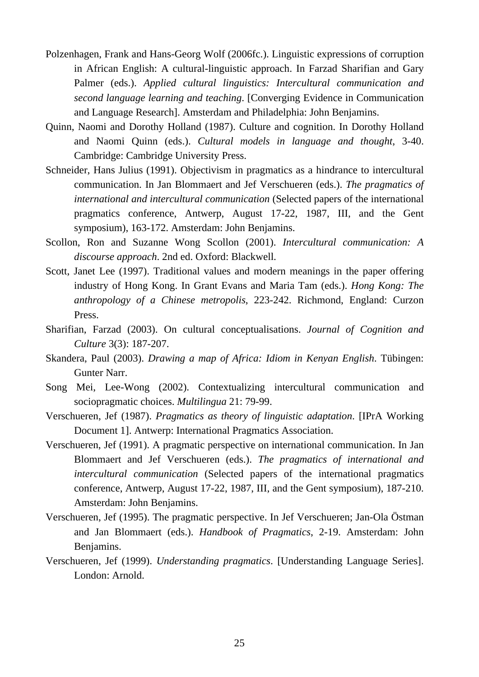- Polzenhagen, Frank and Hans-Georg Wolf (2006fc.). Linguistic expressions of corruption in African English: A cultural-linguistic approach. In Farzad Sharifian and Gary Palmer (eds.). *Applied cultural linguistics: Intercultural communication and second language learning and teaching*. [Converging Evidence in Communication and Language Research]. Amsterdam and Philadelphia: John Benjamins.
- Quinn, Naomi and Dorothy Holland (1987). Culture and cognition. In Dorothy Holland and Naomi Quinn (eds.). *Cultural models in language and thought*, 3-40. Cambridge: Cambridge University Press.
- Schneider, Hans Julius (1991). Objectivism in pragmatics as a hindrance to intercultural communication. In Jan Blommaert and Jef Verschueren (eds.). *The pragmatics of international and intercultural communication* (Selected papers of the international pragmatics conference, Antwerp, August 17-22, 1987, III, and the Gent symposium), 163-172. Amsterdam: John Benjamins.
- Scollon, Ron and Suzanne Wong Scollon (2001). *Intercultural communication: A discourse approach*. 2nd ed. Oxford: Blackwell.
- Scott, Janet Lee (1997). Traditional values and modern meanings in the paper offering industry of Hong Kong. In Grant Evans and Maria Tam (eds.). *Hong Kong: The anthropology of a Chinese metropolis*, 223-242. Richmond, England: Curzon Press.
- Sharifian, Farzad (2003). On cultural conceptualisations. *Journal of Cognition and Culture* 3(3): 187-207.
- Skandera, Paul (2003). *Drawing a map of Africa: Idiom in Kenyan English*. Tübingen: Gunter Narr.
- Song Mei, Lee-Wong (2002). Contextualizing intercultural communication and sociopragmatic choices. *Multilingua* 21: 79-99.
- Verschueren, Jef (1987). *Pragmatics as theory of linguistic adaptation*. [IPrA Working Document 1]. Antwerp: International Pragmatics Association.
- Verschueren, Jef (1991). A pragmatic perspective on international communication. In Jan Blommaert and Jef Verschueren (eds.). *The pragmatics of international and intercultural communication* (Selected papers of the international pragmatics conference, Antwerp, August 17-22, 1987, III, and the Gent symposium), 187-210. Amsterdam: John Benjamins.
- Verschueren, Jef (1995). The pragmatic perspective. In Jef Verschueren; Jan-Ola Östman and Jan Blommaert (eds.). *Handbook of Pragmatics*, 2-19. Amsterdam: John Benjamins.
- Verschueren, Jef (1999). *Understanding pragmatics*. [Understanding Language Series]. London: Arnold.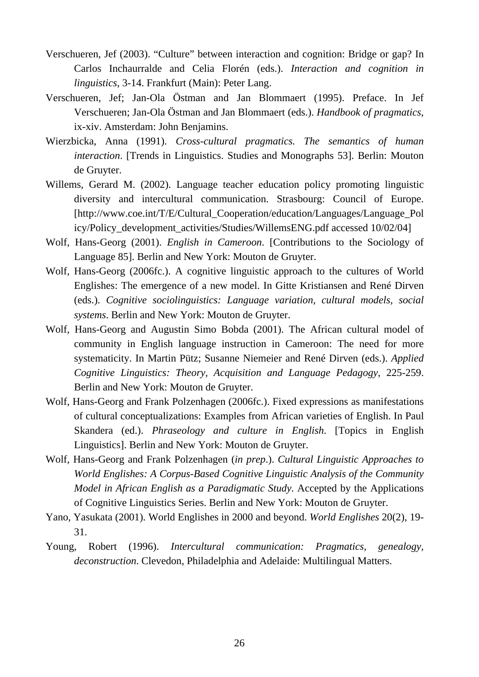- Verschueren, Jef (2003). "Culture" between interaction and cognition: Bridge or gap? In Carlos Inchaurralde and Celia Florén (eds.). *Interaction and cognition in linguistics*, 3-14. Frankfurt (Main): Peter Lang.
- Verschueren, Jef; Jan-Ola Östman and Jan Blommaert (1995). Preface. In Jef Verschueren; Jan-Ola Östman and Jan Blommaert (eds.). *Handbook of pragmatics*, ix-xiv. Amsterdam: John Benjamins.
- Wierzbicka, Anna (1991). *Cross-cultural pragmatics. The semantics of human interaction*. [Trends in Linguistics. Studies and Monographs 53]. Berlin: Mouton de Gruyter.
- Willems, Gerard M. (2002). Language teacher education policy promoting linguistic diversity and intercultural communication. Strasbourg: Council of Europe. [http://www.coe.int/T/E/Cultural\_Cooperation/education/Languages/Language\_Pol icy/Policy\_development\_activities/Studies/WillemsENG.pdf accessed 10/02/04]
- Wolf, Hans-Georg (2001). *English in Cameroon*. [Contributions to the Sociology of Language 85]. Berlin and New York: Mouton de Gruyter.
- Wolf, Hans-Georg (2006fc.). A cognitive linguistic approach to the cultures of World Englishes: The emergence of a new model. In Gitte Kristiansen and René Dirven (eds.). *Cognitive sociolinguistics: Language variation, cultural models, social systems*. Berlin and New York: Mouton de Gruyter.
- Wolf, Hans-Georg and Augustin Simo Bobda (2001). The African cultural model of community in English language instruction in Cameroon: The need for more systematicity. In Martin Pütz; Susanne Niemeier and René Dirven (eds.). *Applied Cognitive Linguistics: Theory, Acquisition and Language Pedagogy*, 225-259. Berlin and New York: Mouton de Gruyter.
- Wolf, Hans-Georg and Frank Polzenhagen (2006fc.). Fixed expressions as manifestations of cultural conceptualizations: Examples from African varieties of English. In Paul Skandera (ed.). *Phraseology and culture in English*. [Topics in English Linguistics]. Berlin and New York: Mouton de Gruyter.
- Wolf, Hans-Georg and Frank Polzenhagen (*in prep*.). *Cultural Linguistic Approaches to World Englishes: A Corpus-Based Cognitive Linguistic Analysis of the Community Model in African English as a Paradigmatic Study*. Accepted by the Applications of Cognitive Linguistics Series. Berlin and New York: Mouton de Gruyter.
- Yano, Yasukata (2001). [World Englishes in 2000 and beyond](http://firstsearch.oclc.org/WebZ/FSFETCH?fetchtype=fullrecord:sessionid=sp07sw05-52794-e64muknp-nlyqdj:entitypagenum=5:0:recno=1:resultset=6:format=FI:next=html/record.html:bad=error/badfetch.html:entitytoprecno=1:entitycurrecno=1:numrecs=1). *World Englishes* 20(2), 19- 31.
- Young, Robert (1996). *Intercultural communication: Pragmatics, genealogy, deconstruction*. Clevedon, Philadelphia and Adelaide: Multilingual Matters.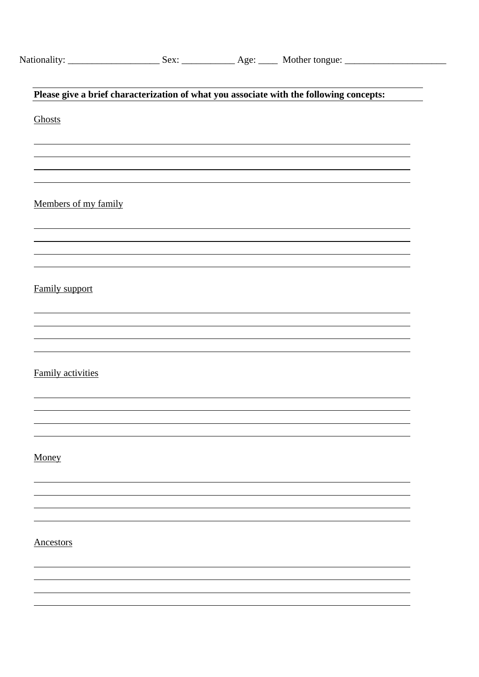|                          |  | Please give a brief characterization of what you associate with the following concepts: |
|--------------------------|--|-----------------------------------------------------------------------------------------|
| Ghosts                   |  |                                                                                         |
|                          |  |                                                                                         |
|                          |  | ,我们也不会有什么。""我们的人,我们也不会有什么?""我们的人,我们也不会有什么?""我们的人,我们也不会有什么?""我们的人,我们也不会有什么?""我们的人        |
|                          |  |                                                                                         |
|                          |  |                                                                                         |
| Members of my family     |  |                                                                                         |
|                          |  |                                                                                         |
|                          |  |                                                                                         |
|                          |  |                                                                                         |
| Family support           |  |                                                                                         |
|                          |  |                                                                                         |
|                          |  |                                                                                         |
|                          |  |                                                                                         |
|                          |  |                                                                                         |
| <b>Family activities</b> |  |                                                                                         |
|                          |  |                                                                                         |
|                          |  |                                                                                         |
|                          |  |                                                                                         |
| Money                    |  |                                                                                         |
|                          |  |                                                                                         |
|                          |  |                                                                                         |
|                          |  |                                                                                         |
|                          |  |                                                                                         |
| <b>Ancestors</b>         |  |                                                                                         |
|                          |  |                                                                                         |
|                          |  |                                                                                         |
|                          |  |                                                                                         |
|                          |  |                                                                                         |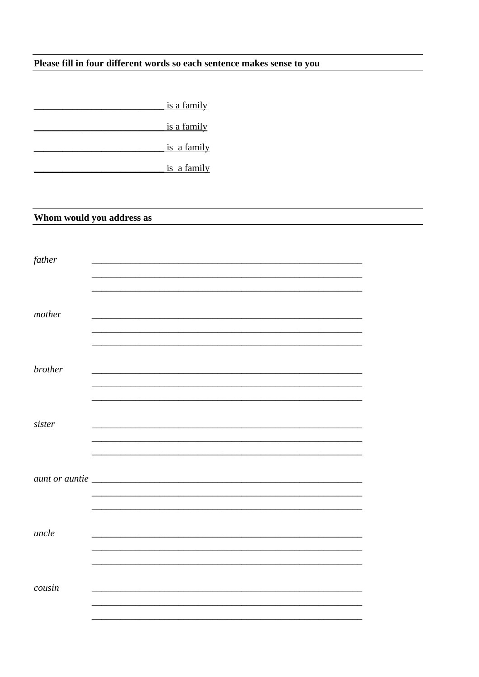## Please fill in four different words so each sentence makes sense to you

|                | <u>is a family</u>        |  |
|----------------|---------------------------|--|
|                | is a family               |  |
|                | is a family               |  |
|                | is a family               |  |
|                |                           |  |
|                |                           |  |
|                | Whom would you address as |  |
|                |                           |  |
| father         |                           |  |
|                |                           |  |
|                |                           |  |
| mother         |                           |  |
|                |                           |  |
|                |                           |  |
| brother        |                           |  |
|                |                           |  |
|                |                           |  |
| sister         |                           |  |
|                |                           |  |
|                |                           |  |
| aunt or auntie |                           |  |
|                |                           |  |
|                |                           |  |
| uncle          |                           |  |
|                |                           |  |
|                |                           |  |
| cousin         |                           |  |
|                |                           |  |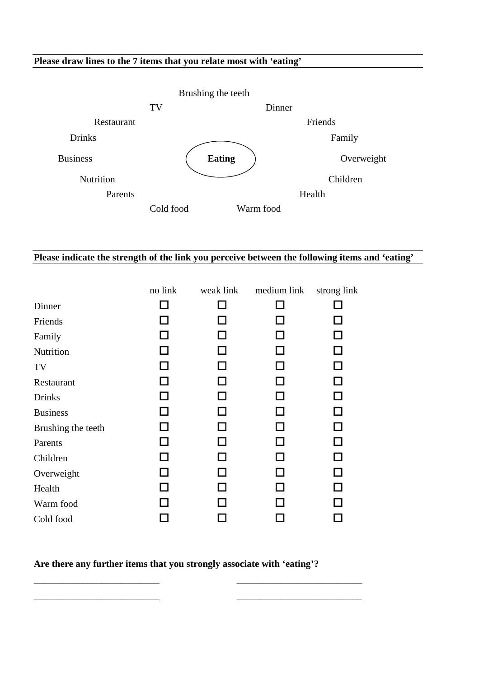#### **Please draw lines to the 7 items that you relate most with 'eating'**



#### **Please indicate the strength of the link you perceive between the following items and 'eating'**

|                    | no link | weak link | medium link | strong link  |
|--------------------|---------|-----------|-------------|--------------|
| Dinner             |         |           |             |              |
| Friends            |         |           |             | $\mathsf{L}$ |
| Family             |         |           |             |              |
| Nutrition          |         |           |             | $\Box$       |
| TV                 |         |           |             | ΙI           |
| Restaurant         |         |           |             | $\Box$       |
| <b>Drinks</b>      |         |           |             | $\mathsf{L}$ |
| <b>Business</b>    |         |           |             | П            |
| Brushing the teeth |         |           |             |              |
| Parents            |         |           |             | П            |
| Children           |         |           |             |              |
| Overweight         |         |           |             | $\mathsf{L}$ |
| Health             |         |           |             |              |
| Warm food          |         |           |             |              |
| Cold food          |         |           |             |              |

#### **Are there any further items that you strongly associate with 'eating'?**

\_\_\_\_\_\_\_\_\_\_\_\_\_\_\_\_\_\_\_\_\_\_\_\_\_\_ \_\_\_\_\_\_\_\_\_\_\_\_\_\_\_\_\_\_\_\_\_\_\_\_\_\_ \_\_\_\_\_\_\_\_\_\_\_\_\_\_\_\_\_\_\_\_\_\_\_\_\_\_ \_\_\_\_\_\_\_\_\_\_\_\_\_\_\_\_\_\_\_\_\_\_\_\_\_\_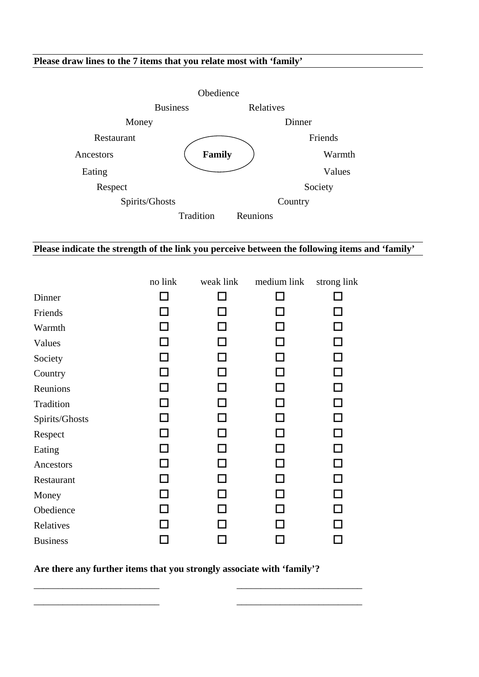#### **Please draw lines to the 7 items that you relate most with 'family'**



### **Please indicate the strength of the link you perceive between the following items and 'family'**

|                 | no link | weak link | medium link | strong link  |
|-----------------|---------|-----------|-------------|--------------|
| Dinner          |         |           |             |              |
| Friends         |         | П         |             | $\mathbf{I}$ |
| Warmth          |         |           |             | ΙI           |
| Values          |         |           |             | ΙI           |
| Society         |         |           |             | П            |
| Country         |         |           |             | П            |
| Reunions        |         |           |             | □            |
| Tradition       |         |           |             | □            |
| Spirits/Ghosts  |         |           | ΙI          | П            |
| Respect         |         | H         | $\Box$      | П            |
| Eating          |         |           |             | П            |
| Ancestors       |         | H         | H           | П            |
| Restaurant      |         | П         |             | П            |
| Money           |         |           |             |              |
| Obedience       |         |           |             | ΙI           |
| Relatives       |         |           |             |              |
| <b>Business</b> |         |           |             | $\sim$       |

**Are there any further items that you strongly associate with 'family'?**

\_\_\_\_\_\_\_\_\_\_\_\_\_\_\_\_\_\_\_\_\_\_\_\_\_\_ \_\_\_\_\_\_\_\_\_\_\_\_\_\_\_\_\_\_\_\_\_\_\_\_\_\_ \_\_\_\_\_\_\_\_\_\_\_\_\_\_\_\_\_\_\_\_\_\_\_\_\_\_ \_\_\_\_\_\_\_\_\_\_\_\_\_\_\_\_\_\_\_\_\_\_\_\_\_\_